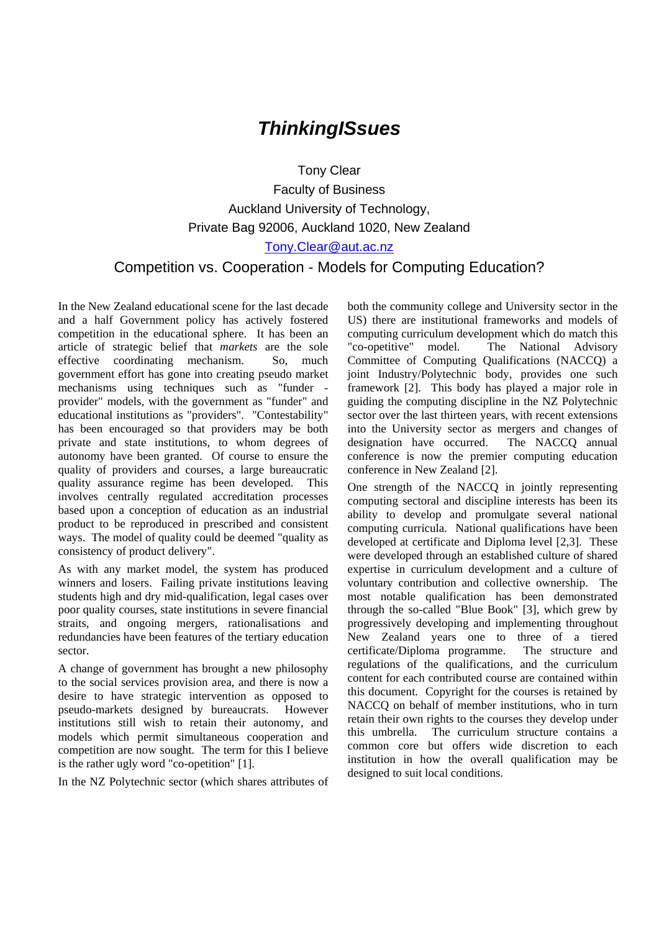## *ThinkingISsues*

Tony Clear Faculty of Business Auckland University of Technology, Private Bag 92006, Auckland 1020, New Zealand Tony.Clear@aut.ac.nz

## Competition vs. Cooperation - Models for Computing Education?

In the New Zealand educational scene for the last decade and a half Government policy has actively fostered competition in the educational sphere. It has been an article of strategic belief that *markets* are the sole effective coordinating mechanism. So, much government effort has gone into creating pseudo market mechanisms using techniques such as "funder provider" models, with the government as "funder" and educational institutions as "providers". "Contestability" has been encouraged so that providers may be both private and state institutions, to whom degrees of autonomy have been granted. Of course to ensure the quality of providers and courses, a large bureaucratic quality assurance regime has been developed. This involves centrally regulated accreditation processes based upon a conception of education as an industrial product to be reproduced in prescribed and consistent ways. The model of quality could be deemed "quality as consistency of product delivery".

As with any market model, the system has produced winners and losers. Failing private institutions leaving students high and dry mid-qualification, legal cases over poor quality courses, state institutions in severe financial straits, and ongoing mergers, rationalisations and redundancies have been features of the tertiary education sector.

A change of government has brought a new philosophy to the social services provision area, and there is now a desire to have strategic intervention as opposed to pseudo-markets designed by bureaucrats. However institutions still wish to retain their autonomy, and models which permit simultaneous cooperation and competition are now sought. The term for this I believe is the rather ugly word "co-opetition" [1].

In the NZ Polytechnic sector (which shares attributes of

both the community college and University sector in the US) there are institutional frameworks and models of computing curriculum development which do match this "co-opetitive" model. The National Advisory Committee of Computing Qualifications (NACCQ) a joint Industry/Polytechnic body, provides one such framework [2]. This body has played a major role in guiding the computing discipline in the NZ Polytechnic sector over the last thirteen years, with recent extensions into the University sector as mergers and changes of designation have occurred. The NACCO annual conference is now the premier computing education conference in New Zealand [2].

One strength of the NACCQ in jointly representing computing sectoral and discipline interests has been its ability to develop and promulgate several national computing curricula. National qualifications have been developed at certificate and Diploma level [2,3]. These were developed through an established culture of shared expertise in curriculum development and a culture of voluntary contribution and collective ownership. The most notable qualification has been demonstrated through the so-called "Blue Book" [3], which grew by progressively developing and implementing throughout New Zealand years one to three of a tiered certificate/Diploma programme. The structure and regulations of the qualifications, and the curriculum content for each contributed course are contained within this document. Copyright for the courses is retained by NACCQ on behalf of member institutions, who in turn retain their own rights to the courses they develop under this umbrella. The curriculum structure contains a common core but offers wide discretion to each institution in how the overall qualification may be designed to suit local conditions.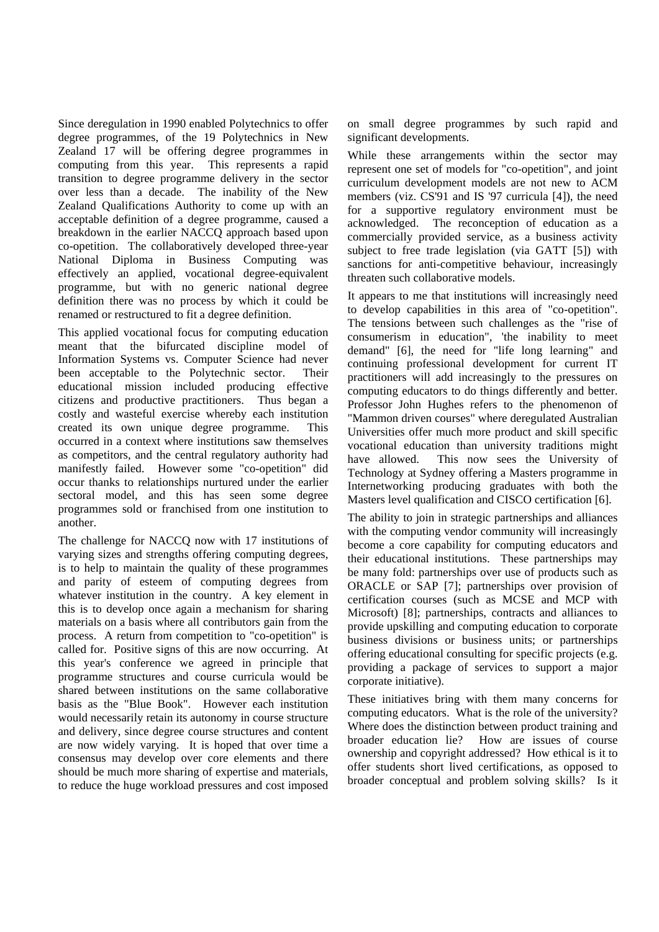Since deregulation in 1990 enabled Polytechnics to offer degree programmes, of the 19 Polytechnics in New Zealand 17 will be offering degree programmes in computing from this year. This represents a rapid transition to degree programme delivery in the sector over less than a decade. The inability of the New Zealand Qualifications Authority to come up with an acceptable definition of a degree programme, caused a breakdown in the earlier NACCQ approach based upon co-opetition. The collaboratively developed three-year National Diploma in Business Computing was effectively an applied, vocational degree-equivalent programme, but with no generic national degree definition there was no process by which it could be renamed or restructured to fit a degree definition.

This applied vocational focus for computing education meant that the bifurcated discipline model of Information Systems vs. Computer Science had never been acceptable to the Polytechnic sector. Their educational mission included producing effective citizens and productive practitioners. Thus began a costly and wasteful exercise whereby each institution created its own unique degree programme. This occurred in a context where institutions saw themselves as competitors, and the central regulatory authority had manifestly failed. However some "co-opetition" did occur thanks to relationships nurtured under the earlier sectoral model, and this has seen some degree programmes sold or franchised from one institution to another.

The challenge for NACCQ now with 17 institutions of varying sizes and strengths offering computing degrees, is to help to maintain the quality of these programmes and parity of esteem of computing degrees from whatever institution in the country. A key element in this is to develop once again a mechanism for sharing materials on a basis where all contributors gain from the process. A return from competition to "co-opetition" is called for. Positive signs of this are now occurring. At this year's conference we agreed in principle that programme structures and course curricula would be shared between institutions on the same collaborative basis as the "Blue Book". However each institution would necessarily retain its autonomy in course structure and delivery, since degree course structures and content are now widely varying. It is hoped that over time a consensus may develop over core elements and there should be much more sharing of expertise and materials, to reduce the huge workload pressures and cost imposed on small degree programmes by such rapid and significant developments.

While these arrangements within the sector may represent one set of models for "co-opetition", and joint curriculum development models are not new to ACM members (viz. CS'91 and IS '97 curricula [4]), the need for a supportive regulatory environment must be acknowledged. The reconception of education as a commercially provided service, as a business activity subject to free trade legislation (via GATT [5]) with sanctions for anti-competitive behaviour, increasingly threaten such collaborative models.

It appears to me that institutions will increasingly need to develop capabilities in this area of "co-opetition". The tensions between such challenges as the "rise of consumerism in education", 'the inability to meet demand" [6], the need for "life long learning" and continuing professional development for current IT practitioners will add increasingly to the pressures on computing educators to do things differently and better. Professor John Hughes refers to the phenomenon of "Mammon driven courses" where deregulated Australian Universities offer much more product and skill specific vocational education than university traditions might have allowed. This now sees the University of Technology at Sydney offering a Masters programme in Internetworking producing graduates with both the Masters level qualification and CISCO certification [6].

The ability to join in strategic partnerships and alliances with the computing vendor community will increasingly become a core capability for computing educators and their educational institutions. These partnerships may be many fold: partnerships over use of products such as ORACLE or SAP [7]; partnerships over provision of certification courses (such as MCSE and MCP with Microsoft) [8]; partnerships, contracts and alliances to provide upskilling and computing education to corporate business divisions or business units; or partnerships offering educational consulting for specific projects (e.g. providing a package of services to support a major corporate initiative).

These initiatives bring with them many concerns for computing educators. What is the role of the university? Where does the distinction between product training and broader education lie? How are issues of course ownership and copyright addressed? How ethical is it to offer students short lived certifications, as opposed to broader conceptual and problem solving skills? Is it